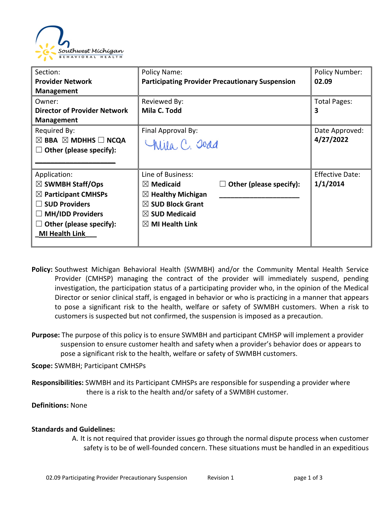

| Section:                                      | Policy Name:                                           |                                | <b>Policy Number:</b>  |
|-----------------------------------------------|--------------------------------------------------------|--------------------------------|------------------------|
| <b>Provider Network</b>                       | <b>Participating Provider Precautionary Suspension</b> |                                | 02.09                  |
| <b>Management</b>                             |                                                        |                                |                        |
| Owner:                                        | Reviewed By:                                           |                                | Total Pages:           |
| <b>Director of Provider Network</b>           | Mila C. Todd                                           |                                | 3                      |
| <b>Management</b>                             |                                                        |                                |                        |
| Required By:                                  | Final Approval By:                                     |                                | Date Approved:         |
| $\boxtimes$ BBA $\boxtimes$ MDHHS $\Box$ NCQA | Chila, C. Joad                                         |                                | 4/27/2022              |
| Other (please specify):                       |                                                        |                                |                        |
|                                               |                                                        |                                |                        |
| Application:                                  | Line of Business:                                      |                                | <b>Effective Date:</b> |
| $\boxtimes$ SWMBH Staff/Ops                   | $\boxtimes$ Medicaid                                   | $\Box$ Other (please specify): | 1/1/2014               |
| $\boxtimes$ Participant CMHSPs                | $\boxtimes$ Healthy Michigan                           |                                |                        |
| <b>SUD Providers</b>                          | $\boxtimes$ SUD Block Grant                            |                                |                        |
| <b>MH/IDD Providers</b>                       | $\boxtimes$ SUD Medicaid                               |                                |                        |
| Other (please specify):                       | $\boxtimes$ MI Health Link                             |                                |                        |
| <b>MI Health Link</b>                         |                                                        |                                |                        |
|                                               |                                                        |                                |                        |

- **Policy:** Southwest Michigan Behavioral Health (SWMBH) and/or the Community Mental Health Service Provider (CMHSP) managing the contract of the provider will immediately suspend, pending investigation, the participation status of a participating provider who, in the opinion of the Medical Director or senior clinical staff, is engaged in behavior or who is practicing in a manner that appears to pose a significant risk to the health, welfare or safety of SWMBH customers. When a risk to customers is suspected but not confirmed, the suspension is imposed as a precaution.
- **Purpose:** The purpose of this policy is to ensure SWMBH and participant CMHSP will implement a provider suspension to ensure customer health and safety when a provider's behavior does or appears to pose a significant risk to the health, welfare or safety of SWMBH customers.
- **Scope:** SWMBH; Participant CMHSPs
- **Responsibilities:** SWMBH and its Participant CMHSPs are responsible for suspending a provider where there is a risk to the health and/or safety of a SWMBH customer.

**Definitions:** None

## **Standards and Guidelines:**

A. It is not required that provider issues go through the normal dispute process when customer safety is to be of well-founded concern. These situations must be handled in an expeditious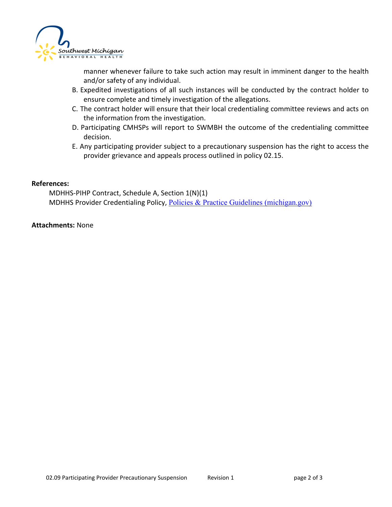

manner whenever failure to take such action may result in imminent danger to the health and/or safety of any individual.

- B. Expedited investigations of all such instances will be conducted by the contract holder to ensure complete and timely investigation of the allegations.
- C. The contract holder will ensure that their local credentialing committee reviews and acts on the information from the investigation.
- D. Participating CMHSPs will report to SWMBH the outcome of the credentialing committee decision.
- E. Any participating provider subject to a precautionary suspension has the right to access the provider grievance and appeals process outlined in policy 02.15.

## **References:**

MDHHS-PIHP Contract, Schedule A, Section 1(N)(1) MDHHS Provider Credentialing Policy, [Policies & Practice Guidelines \(michigan.gov\)](https://www.michigan.gov/mdhhs/keep-mi-healthy/mentalhealth/mentalhealth/practiceguidelines)

## **Attachments:** None